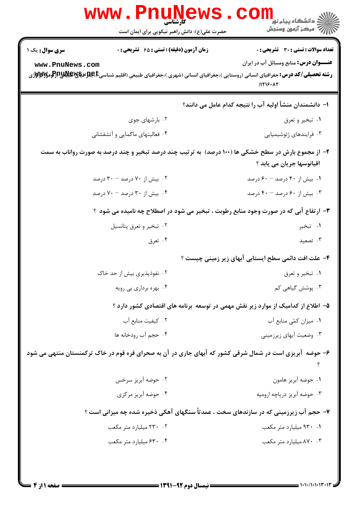| حضرت علی(ع): دانش راهبر نیکویی برای ایمان است                       | ڪ دانشڪاه پيا <sub>م</sub> نور<br>۾ سرڪز آزمون وسنجش                                                                                                                                        |
|---------------------------------------------------------------------|---------------------------------------------------------------------------------------------------------------------------------------------------------------------------------------------|
| زمان آزمون (دقیقه) : تستی : ۶۵ گشریحی : 0<br><b>سری سوال :</b> یک ۱ | تعداد سوالات : تستي : 30 ٪ تشريحي : 0                                                                                                                                                       |
| www.PnuNews.com                                                     | <b>عنـــوان درس:</b> منابع ومسائل آب در ایران<br><b>رشته تحصیلی/کد درس:</b> جغرافیای انسانی (روستایی )،جغرافیای انسانی (شهری )،جغرافیای طبیعی (اقلیم شناسیCبهایاتیالاتیاللا<br>$)1719 - A7$ |
|                                                                     | ا– دانشمندان منشأ اولیه آب را نتیجه کدام عامل می دانند؟                                                                                                                                     |
| ۰۲ بارشهای جوی                                                      | ۰۱ تبخير و تعرق                                                                                                                                                                             |
| ۰۴ فعالیتهای ماگمایی و آتشفشانی                                     | ۰۳ فرایندهای ژئوشیمیایی                                                                                                                                                                     |
|                                                                     | ۲- از مجموع بارش در سطح خشکی ها (۱۰۰ درصد) ً به ترتیب چند درصد تبخیر و چند درصد به صورت رواناب به سمت<br>اقيانوسها جريان مي يابد ؟                                                          |
| ۰۲ بیش از ۷۰ درصد - ۳۰ درصد                                         | ۰۱ بیش از ۴۰ درصد - ۶۰ درصد                                                                                                                                                                 |
| ۰۴ بیش از ۳۰ درصد - ۷۰ درصد                                         | ۰۳ بیش از ۶۰ درصد - ۴۰ درصد                                                                                                                                                                 |
|                                                                     | ۳- ارتفاع آبی که در صورت وجود منابع رطوبت ، تبخیر می شود در اصطلاح چه نامیده می شود ؟                                                                                                       |
| ۰۲ تبخير و تعرق پتانسيل                                             | ۰۱ تبخیر                                                                                                                                                                                    |
| ۰۴ تعرق                                                             | ۰۳ تصعید                                                                                                                                                                                    |
|                                                                     | ۴– علت افت دائمی سطح ایستابی آبهای زیر زمینی چیست ؟                                                                                                                                         |
| ۰۲ نفوذپذیری بیش از حد خاک                                          | ۰۱ تبخير و تعرق                                                                                                                                                                             |
| ۰۴ بهره برداری بی رویه                                              | ۰۳ پوشش گیاهی کم                                                                                                                                                                            |
|                                                                     | ۵– اطلاع از کدامیک از موارد زیر نقش مهمی در توسعه برنامه های اقتصادی کشور دارد ؟                                                                                                            |
| ۰۲ کیفیت منابع آب                                                   | ٠١. ميزان كمّى منابع آب                                                                                                                                                                     |
| ۰۴ حجم آب رودخانه ها                                                | ۰۳ وضعیت آبهای زیرزمینی                                                                                                                                                                     |
|                                                                     | ۶– حوضه آبریزی است در شمال شرقی کشور که آبهای جاری در آن به صحرای قره قوم در خاک ترکمنستان منتهی می شود                                                                                     |
| ۰۲ حوضه آبریز سرخس                                                  | ٠١. حوضه آبريز هامون                                                                                                                                                                        |
| ۰۴ حوضه آبریز مرکزی                                                 | ۰۳ حوضه آبریز دریاچه ارومیه                                                                                                                                                                 |
|                                                                     | ۷- حجم آب زیرزمینی که در سازندهای سخت ، عمدتاً سنگهای آهکی ذخیره شده چه میزانی است ؟                                                                                                        |
| ۲۰ ۲۳۰ میلیارد متر مکعب                                             | ۰۱ ۹۳۰ میلیارد متر مکعب                                                                                                                                                                     |
| ۰۴ ج۶۳۰ میلیارد متر مکعب                                            | ۰۳ ۸۷۰ میلیارد متر مکعب                                                                                                                                                                     |
|                                                                     |                                                                                                                                                                                             |

 $= 1.1 - 11.11 + 11.11$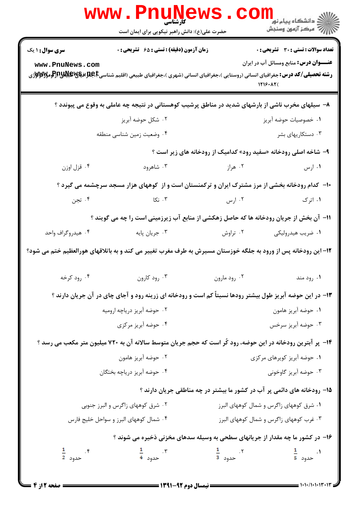|                                   | <b>WWW.FNUNET</b><br>حضرت علی(ع): دانش راهبر نیکویی برای ایمان است                                                                                                                                                                     |                                                                         | الاه دانشگاه پيام نور<br>۱۳۶۷ مرکز آزمون وسنجش                                                                                                                                                                                                                                                                                                                                                                        |
|-----------------------------------|----------------------------------------------------------------------------------------------------------------------------------------------------------------------------------------------------------------------------------------|-------------------------------------------------------------------------|-----------------------------------------------------------------------------------------------------------------------------------------------------------------------------------------------------------------------------------------------------------------------------------------------------------------------------------------------------------------------------------------------------------------------|
| سری سوال: ۱ یک                    | زمان آزمون (دقیقه) : تستی : ۶۵ گشریحی : ۰                                                                                                                                                                                              |                                                                         | <b>تعداد سوالات : تستی : 30 ٪ تشریحی : 0</b>                                                                                                                                                                                                                                                                                                                                                                          |
| www.PnuNews.com                   | <b>رشته تحصیلی/کد درس:</b> جغرافیای انسانی (روستایی )،جغرافیای انسانی (شهری )،جغرافیای طبیعی (اقلیم شناسیCبهایاللهای استان بایجهای استان و تاریخ<br>مسیحه استان استان استان استانی از استانی (روستایی )،جغرافیای انسانی (شهری )،جغرافی | 1719.AT(                                                                | <b>عنـــوان درس:</b> منابع ومسائل آب در ایران                                                                                                                                                                                                                                                                                                                                                                         |
|                                   | ۸– سیلهای مخرب ناشی از بارشهای شدید در مناطق پرشیب کوهستانی در نتیجه چه عاملی به وقوع می پیوندد ؟                                                                                                                                      |                                                                         |                                                                                                                                                                                                                                                                                                                                                                                                                       |
|                                   | ۰۲ شکل حوضه آبریز                                                                                                                                                                                                                      |                                                                         | ٠١ خصوصيات حوضه آبريز                                                                                                                                                                                                                                                                                                                                                                                                 |
|                                   | ۰۴ وضعیت زمین شناسی منطقه                                                                                                                                                                                                              |                                                                         | ۰۳ دستکاریهای بشر                                                                                                                                                                                                                                                                                                                                                                                                     |
|                                   |                                                                                                                                                                                                                                        | ۹- شاخه اصلی رودخانه «سفید رود» کدامیک از رودخانه های زیر است ؟         |                                                                                                                                                                                                                                                                                                                                                                                                                       |
| ۰۴ قزل اوزن                       | ۰۳ شاهرود                                                                                                                                                                                                                              | ۰۲ هراز میباشد.                                                         | ۰۱ ارس                                                                                                                                                                                                                                                                                                                                                                                                                |
|                                   | +۱- کدام رودخانه بخشی از مرز مشترک ایران و ترکمنستان است و از کوههای هزار مسجد سرچشمه می گیرد ؟                                                                                                                                        |                                                                         |                                                                                                                                                                                                                                                                                                                                                                                                                       |
| ۰۴ تجن                            | ای کا تکا $\sim$ . ۳                                                                                                                                                                                                                   | ۰۲ ارس                                                                  | ۰۱ اترک                                                                                                                                                                                                                                                                                                                                                                                                               |
|                                   | 11- آن بخش از جریان رودخانه ها که حاصل زهکشی از منابع آب زیرزمینی است را چه می گویند ؟                                                                                                                                                 |                                                                         |                                                                                                                                                                                                                                                                                                                                                                                                                       |
| ۰۴ هیدروگراف واحد                 | ۰۳ جريان پايه                                                                                                                                                                                                                          |                                                                         |                                                                                                                                                                                                                                                                                                                                                                                                                       |
|                                   | ۱۲– این رودخانه پس از ورود به جلگه خوزستان مسیرش به طرف مغرب تغییر می کند و به باتلاقهای هورالعظیم ختم می شود؟                                                                                                                         |                                                                         |                                                                                                                                                                                                                                                                                                                                                                                                                       |
| ۰۴ رود کرخه                       | ۰۳ رود کارون                                                                                                                                                                                                                           | ۰۲ رود مارون                                                            | ۰۱ رود مند                                                                                                                                                                                                                                                                                                                                                                                                            |
|                                   | ۱۳- در این حوضه آبریز طول بیشتر رودها نسبتاً کم است و رودخانه ای زرینه رود و آجای چای در آن جریان دارند ؟                                                                                                                              |                                                                         |                                                                                                                                                                                                                                                                                                                                                                                                                       |
|                                   | ۰۲ حوضه آبریز دریاچه ارومیه                                                                                                                                                                                                            |                                                                         | ٠١. حوضه آبريز هامون                                                                                                                                                                                                                                                                                                                                                                                                  |
|                                   | ۰۴ حوضه آبریز مرکزی                                                                                                                                                                                                                    |                                                                         | ۰۳ حوضه آبریز سرخس                                                                                                                                                                                                                                                                                                                                                                                                    |
|                                   | ۱۴- پر آبترین رودخانه در این حوضه، رود کُر است که حجم جریان متوسط سالانه آن به ۷۲۰ میلیون متر مکعب می رسد ؟                                                                                                                            |                                                                         |                                                                                                                                                                                                                                                                                                                                                                                                                       |
| ۰۲ حوضه آبریز هامون               |                                                                                                                                                                                                                                        | ۰۱ حوضه آبریز کویرهای مرکزی                                             |                                                                                                                                                                                                                                                                                                                                                                                                                       |
|                                   | ۰۴ حوضه آبریز دریاچه بختگان                                                                                                                                                                                                            |                                                                         | ۰۳ حوضه آبریز گاوخونی                                                                                                                                                                                                                                                                                                                                                                                                 |
|                                   |                                                                                                                                                                                                                                        | ۱۵– رودخانه های دائمی پر آب در کشور ما بیشتر در چه مناطقی جریان دارند ؟ |                                                                                                                                                                                                                                                                                                                                                                                                                       |
| ۰۲ شرق کوههای زاگرس و البرز جنوبی |                                                                                                                                                                                                                                        | ۰۱ شرق کوههای زاگرس و شمال کوههای البرز                                 |                                                                                                                                                                                                                                                                                                                                                                                                                       |
|                                   | ۰۴ شمال کوههای البرز و سواحل خلیج فارس                                                                                                                                                                                                 | ۰۳ غرب کوههای زاگرس و شمال کوههای البرز                                 |                                                                                                                                                                                                                                                                                                                                                                                                                       |
|                                   | ۱۶- در کشور ما چه مقدار از جریانهای سطحی به وسیله سدهای مخزنی ذخیره می شوند ؟                                                                                                                                                          |                                                                         |                                                                                                                                                                                                                                                                                                                                                                                                                       |
| ۴ .<br>حدود <mark>2</mark>        | ۳ .<br>حدود <del>4</del>                                                                                                                                                                                                               | $\frac{1}{3}$ حدود $\frac{1}{3}$                                        |                                                                                                                                                                                                                                                                                                                                                                                                                       |
| = صفحه 2 از 4                     |                                                                                                                                                                                                                                        | ــــــــــــــــــــ نیمسال دوم ۹۲-۱۳۹۱ ــــــ                          | $\frac{1}{1-\frac{1}{1-\frac{1}{1-\frac{1}{1-\frac{1}{1-\frac{1}{1-\frac{1}{1-\frac{1}{1-\frac{1}{1-\frac{1}{1-\frac{1}{1-\frac{1}{1-\frac{1}{1-\frac{1}{1-\frac{1}{1-\frac{1}{1-\frac{1}{1-\frac{1}{1-\frac{1}{1-\frac{1}{1-\frac{1}{1-\frac{1}{1-\frac{1}{1-\frac{1}{1-\frac{1}{1-\frac{1}{1-\frac{1}{1-\frac{1}{1-\frac{1}{1-\frac{1}{1-\frac{1}{1-\frac{1}{1-\frac{1}{1-\frac{1}{1-\frac{1}{1-\frac{1}{1-\frac{1$ |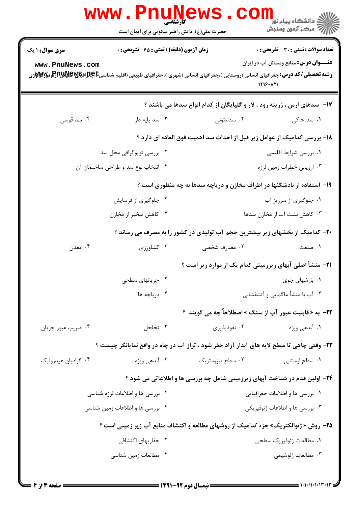|                                                                                                                                                              | <b>WWW.FNUNEWS</b><br>کارشناسی<br>حضرت علی(ع): دانش راهبر نیکویی برای ایمان است |                                                                                            |                                                           |
|--------------------------------------------------------------------------------------------------------------------------------------------------------------|---------------------------------------------------------------------------------|--------------------------------------------------------------------------------------------|-----------------------------------------------------------|
| <b>سری سوال :</b> ۱ یک                                                                                                                                       | <b>زمان آزمون (دقیقه) : تستی : 65 گشریحی : 0</b>                                |                                                                                            | تعداد سوالات : تستي : 30 ٪ تشريحي : 0                     |
| www.PnuNews.com<br><b>رشته تحصیلی/کد درس:</b> جغرافیای انسانی (روستایی )،جغرافیای انسانی (شهری )،جغرافیای طبیعی (اقلیم شناسیCبهایاتشان بالایاترایومالایاترای |                                                                                 |                                                                                            | <b>عنـــوان درس:</b> منابع ومسائل آب در ایران<br>1719.AT( |
|                                                                                                                                                              |                                                                                 | ۱۷- ً سدهای ارس ، زرینه رود ، لار و گلپایگان از کدام انواع سدها می باشند ؟                 |                                                           |
| ۰۴ سد قوسی                                                                                                                                                   | ۰۳ سد پایه دار                                                                  | ۰۲ سد بتونی                                                                                | ۰۱ سد خاکی                                                |
|                                                                                                                                                              |                                                                                 | ۱۸- بررسی کدامیک از عوامل زیر قبل از احداث سد اهمیت فوق العاده ای دارد ؟                   |                                                           |
|                                                                                                                                                              | ۰۲ بررسی توپوگرافی محل سد                                                       |                                                                                            | ۰۱ بررسی شرایط اقلیمی                                     |
|                                                                                                                                                              | ۰۴ انتخاب نوع سد و طراحی ساختمان آن                                             |                                                                                            | ۰۳ ارزيابي خطرات زمين لرزه                                |
|                                                                                                                                                              |                                                                                 | ۱۹- استفاده از بادشکنها در اطراف مخازن و دریاچه سدها به چه منظوری است ؟                    |                                                           |
|                                                                                                                                                              | ۰۲ جلوگیری از فرسایش                                                            |                                                                                            | ۰۱ جلوگیری از سرریز آب                                    |
|                                                                                                                                                              | ۰۴ کاهش تبخیر از مخازن                                                          |                                                                                            | ۰۳ کاهش نشت آب از مخازن سدها                              |
|                                                                                                                                                              |                                                                                 | +۲- کدامیک از بخشهای زیر بیشترین حجم آب تولیدی در کشور را به مصرف می رساند ؟               |                                                           |
| ۰۴ معدن                                                                                                                                                      | ۰۳ کشاورزی                                                                      | ۰۲ مصارف شخصی                                                                              | ۰۱ صنعت                                                   |
|                                                                                                                                                              |                                                                                 | <b>۲۱</b> – منشأ اصلی آبهای زیرزمینی کدام یک از موارد زیر است ؟                            |                                                           |
|                                                                                                                                                              | ۰۲ جریانهای سطحی                                                                |                                                                                            | ۰۱ بارشهای جوی                                            |
|                                                                                                                                                              | ۰۴ دریاچه ها                                                                    |                                                                                            | ۰۳ آب با منشأ ماگمایی و آتشفشانی                          |
|                                                                                                                                                              |                                                                                 | <b>۲۲-</b> به « قابلیت عبور آب از سنگ » اصطلاحاً چه می گویند ؟                             |                                                           |
| ۰۴ ضریب عبور جریان                                                                                                                                           | ۰۳ تخلخل                                                                        | ۰۲ نفوذپذیری                                                                               | ۰۱ آبدهی ویژه                                             |
|                                                                                                                                                              |                                                                                 | ۲۳- وقتی چاهی تا سطح لایه های آبدار آزاد حفر شود ، تراز آب در چاه در واقع نمایانگر چیست ؟  |                                                           |
| ۰۴ گراديان هيدروليک                                                                                                                                          | ۰۳ آبدهی ویژه                                                                   | ۰۲ سطح پیزومتریک                                                                           | ٠١ سطح ايستابي                                            |
|                                                                                                                                                              |                                                                                 | ۲۴- اولین قدم در شناخت آبهای زیرزمینی شامل چه بررسی ها و اطلاعاتی می شود ؟                 |                                                           |
|                                                                                                                                                              | ۰۲ بررسی ها و اطلاعات لرزه شناسی                                                |                                                                                            | ٠١. بررسي ها و اطلاعات جغرافيايي                          |
|                                                                                                                                                              | ۰۴ بررسی ها و اطلاعات زمین شناسی                                                |                                                                                            | ۰۳ بررسی ها و اطلاعات ژئوفیزیکی                           |
|                                                                                                                                                              |                                                                                 | <b>۲۵- روش « ژئوالکتریک» جزء کدامیک از روشهای مطالعه و اکتشاف منابع آب زیر زمینی است ؟</b> |                                                           |
|                                                                                                                                                              | ۰۲ حفاریهای اکتشافی                                                             |                                                                                            | ٠١. مطالعات ژئوفيزيک سطحي                                 |
|                                                                                                                                                              | ۰۴ مطالعات زمین شناسی                                                           |                                                                                            | ۰۳ مطالعات ژئوشیمی                                        |
|                                                                                                                                                              |                                                                                 |                                                                                            |                                                           |